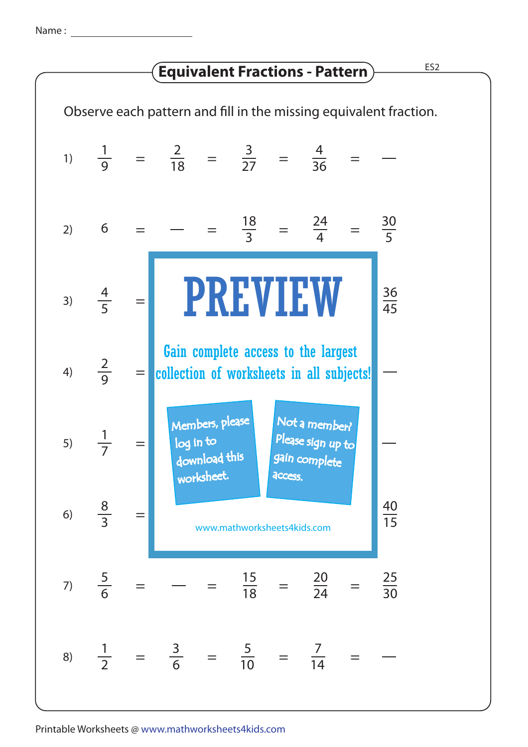